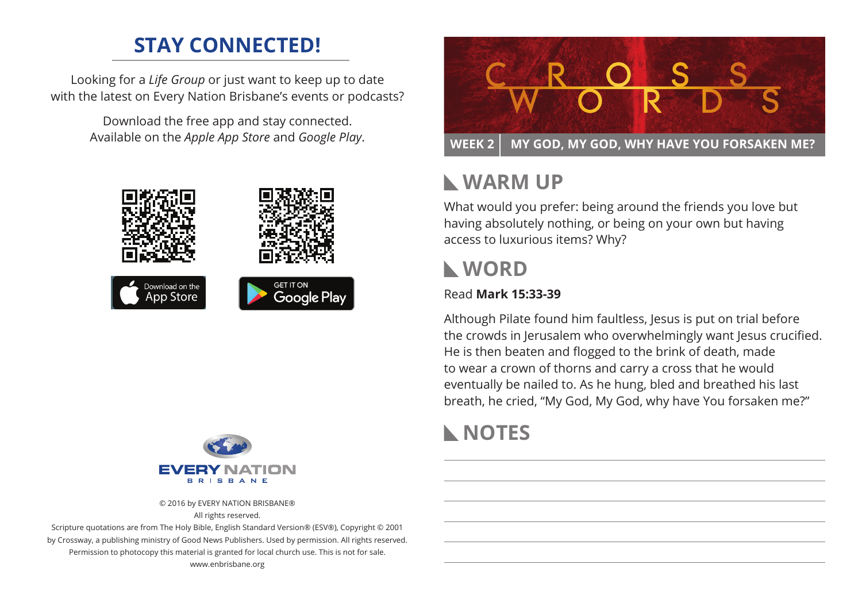# **STAY CONNECTED!**

Looking for a *Life Group* or just want to keep up to date with the latest on Every Nation Brisbane's events or podcasts?

> Download the free app and stay connected. Available on the *Apple App Store* and *Google Play*.





© 2016 by EVERY NATION BRISBANE® All rights reserved.

Scripture quotations are from The Holy Bible, English Standard Version® (ESV®), Copyright © 2001 by Crossway, a publishing ministry of Good News Publishers. Used by permission. All rights reserved. Permission to photocopy this material is granted for local church use. This is not for sale. www.enbrisbane.org



# **Warm Up**

What would you prefer: being around the friends you love but having absolutely nothing, or being on your own but having access to luxurious items? Why?

## **WORD**

### Read **Mark 15:33-39**

Although Pilate found him faultless, Jesus is put on trial before the crowds in Jerusalem who overwhelmingly want Jesus crucified. He is then beaten and flogged to the brink of death, made to wear a crown of thorns and carry a cross that he would eventually be nailed to. As he hung, bled and breathed his last breath, he cried, "My God, My God, why have You forsaken me?"